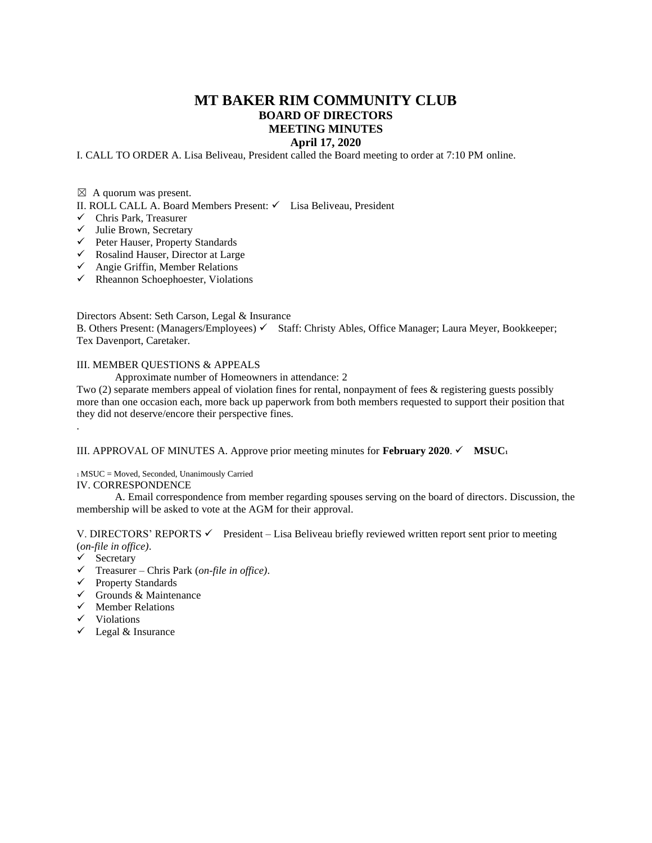## **MT BAKER RIM COMMUNITY CLUB BOARD OF DIRECTORS MEETING MINUTES**

## **April 17, 2020**

I. CALL TO ORDER A. Lisa Beliveau, President called the Board meeting to order at 7:10 PM online.

 $\boxtimes$  A quorum was present.

II. ROLL CALL A. Board Members Present: ✓ Lisa Beliveau, President

- ✓ Chris Park, Treasurer
- ✓ Julie Brown, Secretary
- ✓ Peter Hauser, Property Standards
- ✓ Rosalind Hauser, Director at Large
- $\checkmark$  Angie Griffin, Member Relations
- $\checkmark$  Rheannon Schoephoester, Violations

Directors Absent: Seth Carson, Legal & Insurance

B. Others Present: (Managers/Employees) √ Staff: Christy Ables, Office Manager; Laura Meyer, Bookkeeper; Tex Davenport, Caretaker.

## III. MEMBER QUESTIONS & APPEALS

Approximate number of Homeowners in attendance: 2

Two (2) separate members appeal of violation fines for rental, nonpayment of fees & registering guests possibly more than one occasion each, more back up paperwork from both members requested to support their position that they did not deserve/encore their perspective fines.

## III. APPROVAL OF MINUTES A. Approve prior meeting minutes for **February** 2020.  $\checkmark$  **MSUC**<sub>1</sub>

<sup>1</sup>MSUC = Moved, Seconded, Unanimously Carried

IV. CORRESPONDENCE

A. Email correspondence from member regarding spouses serving on the board of directors. Discussion, the membership will be asked to vote at the AGM for their approval.

V. DIRECTORS' REPORTS <del>V</del> President – Lisa Beliveau briefly reviewed written report sent prior to meeting (*on-file in office)*.

✓ Secretary

.

- ✓ Treasurer Chris Park (*on-file in office)*.
- ✓ Property Standards
- $\checkmark$  Grounds & Maintenance
- $\checkmark$  Member Relations
- ✓ Violations
- ✓ Legal & Insurance